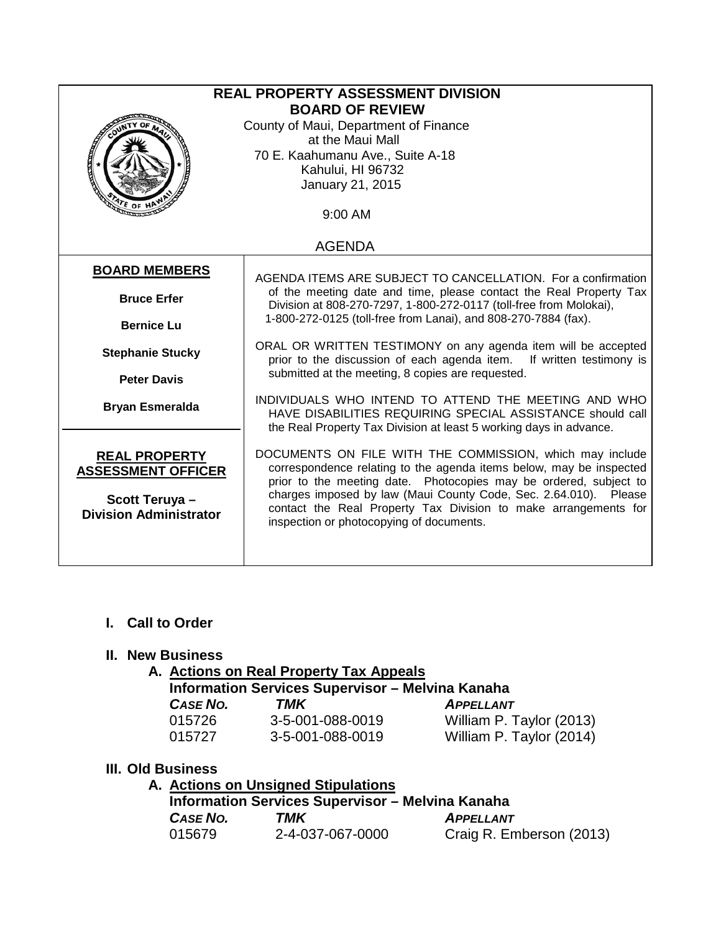| <b>REAL PROPERTY ASSESSMENT DIVISION</b><br><b>BOARD OF REVIEW</b><br>County of Maui, Department of Finance<br>at the Maui Mall<br>70 E. Kaahumanu Ave., Suite A-18<br>Kahului, HI 96732<br>January 21, 2015<br>9:00 AM |                                                                                                                                                                                                                                                                                                                                                                                         |  |
|-------------------------------------------------------------------------------------------------------------------------------------------------------------------------------------------------------------------------|-----------------------------------------------------------------------------------------------------------------------------------------------------------------------------------------------------------------------------------------------------------------------------------------------------------------------------------------------------------------------------------------|--|
| <b>AGENDA</b>                                                                                                                                                                                                           |                                                                                                                                                                                                                                                                                                                                                                                         |  |
| <b>BOARD MEMBERS</b><br><b>Bruce Erfer</b><br><b>Bernice Lu</b>                                                                                                                                                         | AGENDA ITEMS ARE SUBJECT TO CANCELLATION. For a confirmation<br>of the meeting date and time, please contact the Real Property Tax<br>Division at 808-270-7297, 1-800-272-0117 (toll-free from Molokai),<br>1-800-272-0125 (toll-free from Lanai), and 808-270-7884 (fax).                                                                                                              |  |
| <b>Stephanie Stucky</b><br><b>Peter Davis</b>                                                                                                                                                                           | ORAL OR WRITTEN TESTIMONY on any agenda item will be accepted<br>prior to the discussion of each agenda item. If written testimony is<br>submitted at the meeting, 8 copies are requested.                                                                                                                                                                                              |  |
| <b>Bryan Esmeralda</b>                                                                                                                                                                                                  | INDIVIDUALS WHO INTEND TO ATTEND THE MEETING AND WHO<br>HAVE DISABILITIES REQUIRING SPECIAL ASSISTANCE should call<br>the Real Property Tax Division at least 5 working days in advance.                                                                                                                                                                                                |  |
| <b>REAL PROPERTY</b><br><b>ASSESSMENT OFFICER</b><br>Scott Teruya -<br><b>Division Administrator</b>                                                                                                                    | DOCUMENTS ON FILE WITH THE COMMISSION, which may include<br>correspondence relating to the agenda items below, may be inspected<br>prior to the meeting date. Photocopies may be ordered, subject to<br>charges imposed by law (Maui County Code, Sec. 2.64.010). Please<br>contact the Real Property Tax Division to make arrangements for<br>inspection or photocopying of documents. |  |

## **I. Call to Order**

#### **II. New Business**

## **A. Actions on Real Property Tax Appeals**

| <b>Information Services Supervisor - Melvina Kanaha</b> |                  |                          |  |
|---------------------------------------------------------|------------------|--------------------------|--|
| <b>CASE NO.</b>                                         | TMK              | <b>APPELLANT</b>         |  |
| 015726                                                  | 3-5-001-088-0019 | William P. Taylor (2013) |  |
| 015727                                                  | 3-5-001-088-0019 | William P. Taylor (2014) |  |

#### **III. Old Business**

**A. Actions on Unsigned Stipulations**

| <b>Information Services Supervisor - Melvina Kanaha</b> |                  |                          |  |
|---------------------------------------------------------|------------------|--------------------------|--|
| CASE NO.                                                | TMK              | <b>APPELLANT</b>         |  |
| 015679                                                  | 2-4-037-067-0000 | Craig R. Emberson (2013) |  |